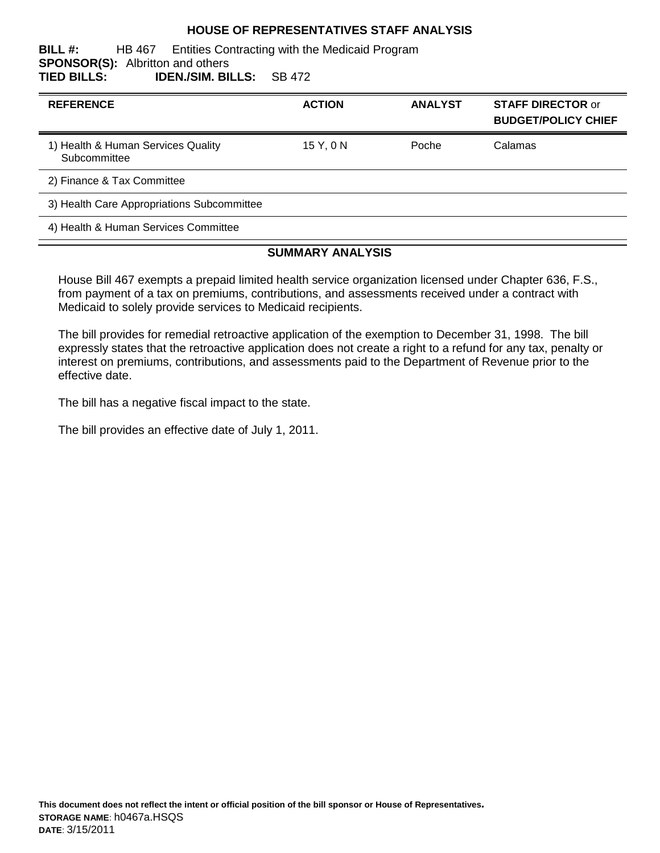#### **HOUSE OF REPRESENTATIVES STAFF ANALYSIS**

#### **BILL #:** HB 467 Entities Contracting with the Medicaid Program **SPONSOR(S):** Albritton and others **TIED BILLS: IDEN./SIM. BILLS:** SB 472

| <b>REFERENCE</b>                                   | <b>ACTION</b> | <b>ANALYST</b> | <b>STAFF DIRECTOR or</b><br><b>BUDGET/POLICY CHIEF</b> |
|----------------------------------------------------|---------------|----------------|--------------------------------------------------------|
| 1) Health & Human Services Quality<br>Subcommittee | 15 Y.ON       | Poche          | Calamas                                                |
| 2) Finance & Tax Committee                         |               |                |                                                        |
| 3) Health Care Appropriations Subcommittee         |               |                |                                                        |
| 4) Health & Human Services Committee               |               |                |                                                        |

#### **SUMMARY ANALYSIS**

House Bill 467 exempts a prepaid limited health service organization licensed under Chapter 636, F.S., from payment of a tax on premiums, contributions, and assessments received under a contract with Medicaid to solely provide services to Medicaid recipients.

The bill provides for remedial retroactive application of the exemption to December 31, 1998. The bill expressly states that the retroactive application does not create a right to a refund for any tax, penalty or interest on premiums, contributions, and assessments paid to the Department of Revenue prior to the effective date.

The bill has a negative fiscal impact to the state.

The bill provides an effective date of July 1, 2011.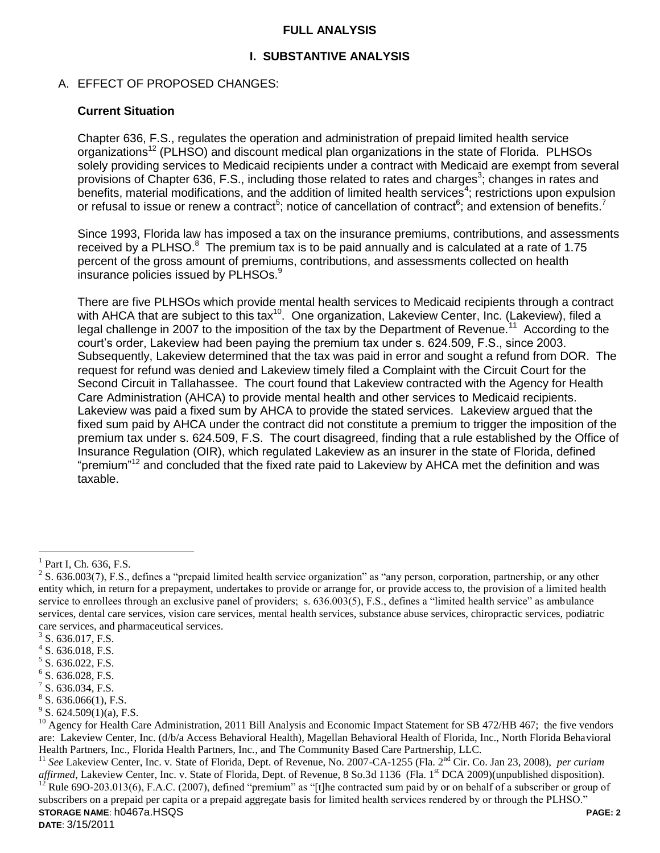#### **FULL ANALYSIS**

### **I. SUBSTANTIVE ANALYSIS**

### A. EFFECT OF PROPOSED CHANGES:

#### **Current Situation**

Chapter 636, F.S., regulates the operation and administration of prepaid limited health service organizations<sup>12</sup> (PLHSO) and discount medical plan organizations in the state of Florida. PLHSOs solely providing services to Medicaid recipients under a contract with Medicaid are exempt from several provisions of Chapter 636, F.S., including those related to rates and charges<sup>3</sup>; changes in rates and benefits, material modifications, and the addition of limited health services<sup>4</sup>; restrictions upon expulsion or refusal to issue or renew a contract<sup>5</sup>; notice of cancellation of contract<sup>6</sup>; and extension of benefits.<sup>7</sup>

Since 1993, Florida law has imposed a tax on the insurance premiums, contributions, and assessments received by a PLHSO. $8$  The premium tax is to be paid annually and is calculated at a rate of 1.75 percent of the gross amount of premiums, contributions, and assessments collected on health insurance policies issued by PLHSOs.<sup>9</sup>

There are five PLHSOs which provide mental health services to Medicaid recipients through a contract with AHCA that are subject to this tax<sup>10</sup>. One organization, Lakeview Center, Inc. (Lakeview), filed a legal challenge in 2007 to the imposition of the tax by the Department of Revenue.<sup>11</sup> According to the court's order, Lakeview had been paying the premium tax under s. 624.509, F.S., since 2003. Subsequently, Lakeview determined that the tax was paid in error and sought a refund from DOR. The request for refund was denied and Lakeview timely filed a Complaint with the Circuit Court for the Second Circuit in Tallahassee. The court found that Lakeview contracted with the Agency for Health Care Administration (AHCA) to provide mental health and other services to Medicaid recipients. Lakeview was paid a fixed sum by AHCA to provide the stated services. Lakeview argued that the fixed sum paid by AHCA under the contract did not constitute a premium to trigger the imposition of the premium tax under s. 624.509, F.S. The court disagreed, finding that a rule established by the Office of Insurance Regulation (OIR), which regulated Lakeview as an insurer in the state of Florida, defined "premium"<sup>12</sup> and concluded that the fixed rate paid to Lakeview by AHCA met the definition and was taxable.

 $\overline{a}$ 

**STORAGE NAME**: h0467a.HSQS **PAGE: 2 DATE**: 3/15/2011 <sup>11</sup> See Lakeview Center, Inc. v. State of Florida, Dept. of Revenue, No. 2007-CA-1255 (Fla. 2<sup>nd</sup> Cir. Co. Jan 23, 2008), *per curiam affirmed*, Lakeview Center, Inc. v. State of Florida, Dept. of Revenue, 8 So.3d 1136 (Fla. 1<sup>st</sup> DCA 2009)(unpublished disposition). Rule 69O-203.013(6), F.A.C. (2007), defined "premium" as "[t]he contracted sum paid by or on behalf of a subscriber or group of subscribers on a prepaid per capita or a prepaid aggregate basis for limited health services rendered by or through the PLHSO."

 $<sup>1</sup>$  Part I, Ch. 636, F.S.</sup>

 $2^2$  S. 636.003(7), F.S., defines a "prepaid limited health service organization" as "any person, corporation, partnership, or any other entity which, in return for a prepayment, undertakes to provide or arrange for, or provide access to, the provision of a limited health service to enrollees through an exclusive panel of providers; s. 636.003(5), F.S., defines a "limited health service" as ambulance services, dental care services, vision care services, mental health services, substance abuse services, chiropractic services, podiatric care services, and pharmaceutical services.

 $3$  S. 636.017, F.S.

 $4$  S. 636.018, F.S.

<sup>&</sup>lt;sup>5</sup> S. 636.022, F.S.

 $6$  S. 636.028, F.S.

 $7$  S. 636.034, F.S.

 $8$  S. 636.066(1), F.S.

 $9^9$  S. 624.509(1)(a), F.S.

 $^{10}$  Agency for Health Care Administration, 2011 Bill Analysis and Economic Impact Statement for SB 472/HB 467; the five vendors are: Lakeview Center, Inc. (d/b/a Access Behavioral Health), Magellan Behavioral Health of Florida, Inc., North Florida Behavioral Health Partners, Inc., Florida Health Partners, Inc., and The Community Based Care Partnership, LLC.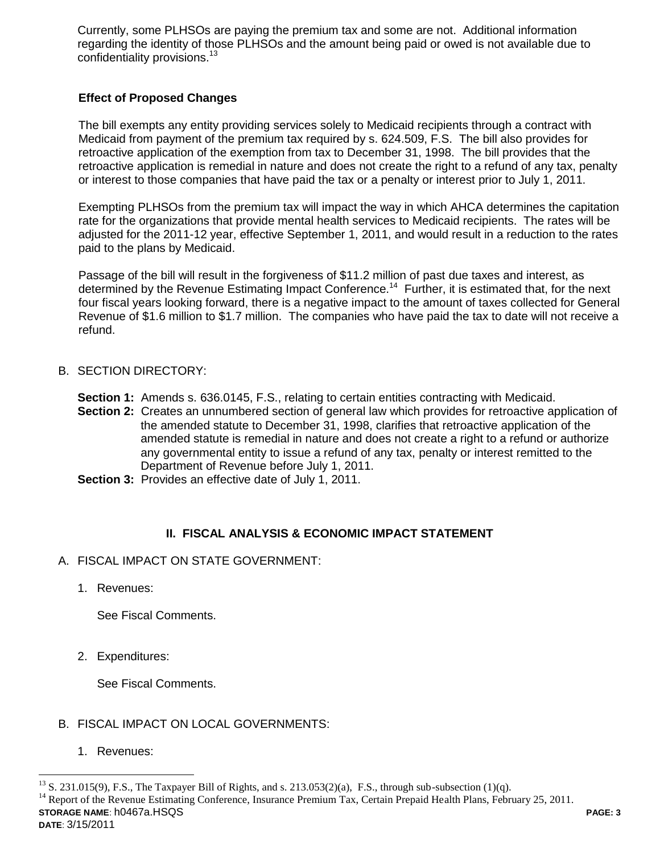Currently, some PLHSOs are paying the premium tax and some are not. Additional information regarding the identity of those PLHSOs and the amount being paid or owed is not available due to confidentiality provisions.<sup>13</sup>

## **Effect of Proposed Changes**

The bill exempts any entity providing services solely to Medicaid recipients through a contract with Medicaid from payment of the premium tax required by s. 624.509, F.S. The bill also provides for retroactive application of the exemption from tax to December 31, 1998. The bill provides that the retroactive application is remedial in nature and does not create the right to a refund of any tax, penalty or interest to those companies that have paid the tax or a penalty or interest prior to July 1, 2011.

Exempting PLHSOs from the premium tax will impact the way in which AHCA determines the capitation rate for the organizations that provide mental health services to Medicaid recipients. The rates will be adjusted for the 2011-12 year, effective September 1, 2011, and would result in a reduction to the rates paid to the plans by Medicaid.

Passage of the bill will result in the forgiveness of \$11.2 million of past due taxes and interest, as determined by the Revenue Estimating Impact Conference.<sup>14</sup> Further, it is estimated that, for the next four fiscal years looking forward, there is a negative impact to the amount of taxes collected for General Revenue of \$1.6 million to \$1.7 million. The companies who have paid the tax to date will not receive a refund.

### B. SECTION DIRECTORY:

**Section 1:** Amends s. 636.0145, F.S., relating to certain entities contracting with Medicaid.

- **Section 2:** Creates an unnumbered section of general law which provides for retroactive application of the amended statute to December 31, 1998, clarifies that retroactive application of the amended statute is remedial in nature and does not create a right to a refund or authorize any governmental entity to issue a refund of any tax, penalty or interest remitted to the Department of Revenue before July 1, 2011.
- **Section 3:** Provides an effective date of July 1, 2011.

## **II. FISCAL ANALYSIS & ECONOMIC IMPACT STATEMENT**

- A. FISCAL IMPACT ON STATE GOVERNMENT:
	- 1. Revenues:

See Fiscal Comments.

2. Expenditures:

See Fiscal Comments.

- B. FISCAL IMPACT ON LOCAL GOVERNMENTS:
	- 1. Revenues:

 $\overline{a}$ 

**STORAGE NAME**: h0467a.HSQS **PAGE: 3 DATE**: 3/15/2011  $13$  S. 231.015(9), F.S., The Taxpayer Bill of Rights, and s. 213.053(2)(a), F.S., through sub-subsection (1)(q). <sup>14</sup> Report of the Revenue Estimating Conference, Insurance Premium Tax, Certain Prepaid Health Plans, February 25, 2011.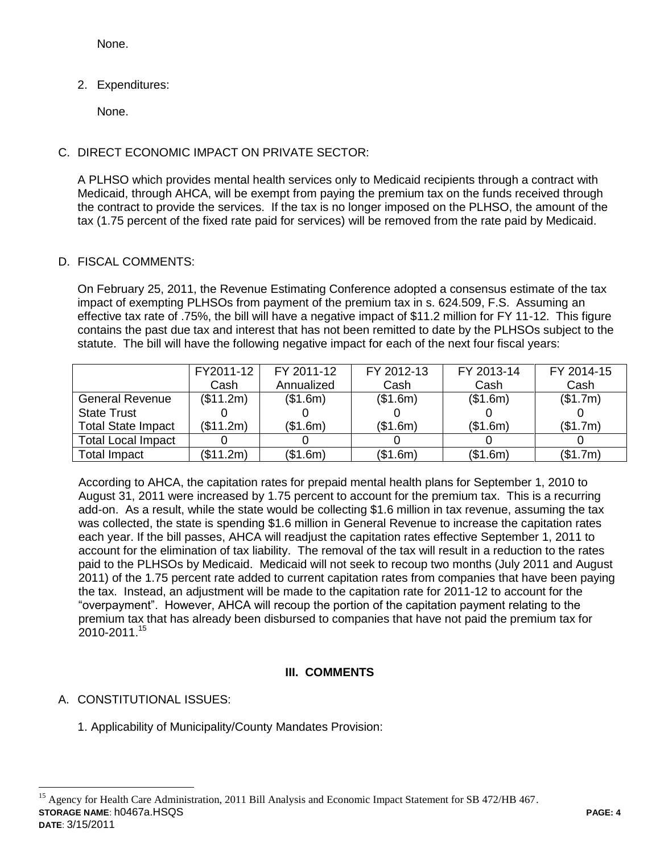None.

2. Expenditures:

None.

## C. DIRECT ECONOMIC IMPACT ON PRIVATE SECTOR:

A PLHSO which provides mental health services only to Medicaid recipients through a contract with Medicaid, through AHCA, will be exempt from paying the premium tax on the funds received through the contract to provide the services. If the tax is no longer imposed on the PLHSO, the amount of the tax (1.75 percent of the fixed rate paid for services) will be removed from the rate paid by Medicaid.

## D. FISCAL COMMENTS:

On February 25, 2011, the Revenue Estimating Conference adopted a consensus estimate of the tax impact of exempting PLHSOs from payment of the premium tax in s. 624.509, F.S. Assuming an effective tax rate of .75%, the bill will have a negative impact of \$11.2 million for FY 11-12. This figure contains the past due tax and interest that has not been remitted to date by the PLHSOs subject to the statute. The bill will have the following negative impact for each of the next four fiscal years:

|                           | FY2011-12 | FY 2011-12 | FY 2012-13 | FY 2013-14 | FY 2014-15 |
|---------------------------|-----------|------------|------------|------------|------------|
|                           | Cash      | Annualized | Cash       | Cash       | Cash       |
| <b>General Revenue</b>    | (\$11.2m) | (\$1.6m)   | (\$1.6m)   | (\$1.6m)   | (\$1.7m)   |
| <b>State Trust</b>        |           |            |            |            |            |
| <b>Total State Impact</b> | (\$11.2m) | (\$1.6m)   | (\$1.6m)   | (\$1.6m)   | (\$1.7m)   |
| <b>Total Local Impact</b> |           |            |            |            |            |
| Total Impact              | (\$11.2m) | (\$1.6m)   | (\$1.6m)   | (\$1.6m)   | (\$1.7m)   |

According to AHCA, the capitation rates for prepaid mental health plans for September 1, 2010 to August 31, 2011 were increased by 1.75 percent to account for the premium tax. This is a recurring add-on. As a result, while the state would be collecting \$1.6 million in tax revenue, assuming the tax was collected, the state is spending \$1.6 million in General Revenue to increase the capitation rates each year. If the bill passes, AHCA will readjust the capitation rates effective September 1, 2011 to account for the elimination of tax liability. The removal of the tax will result in a reduction to the rates paid to the PLHSOs by Medicaid. Medicaid will not seek to recoup two months (July 2011 and August 2011) of the 1.75 percent rate added to current capitation rates from companies that have been paying the tax. Instead, an adjustment will be made to the capitation rate for 2011-12 to account for the "overpayment". However, AHCA will recoup the portion of the capitation payment relating to the premium tax that has already been disbursed to companies that have not paid the premium tax for 2010-2011.<sup>15</sup>

# **III. COMMENTS**

# A. CONSTITUTIONAL ISSUES:

1. Applicability of Municipality/County Mandates Provision:

**STORAGE NAME**: h0467a.HSQS **PAGE: 4 DATE**: 3/15/2011  $\overline{a}$ <sup>15</sup> Agency for Health Care Administration, 2011 Bill Analysis and Economic Impact Statement for SB 472/HB 467.